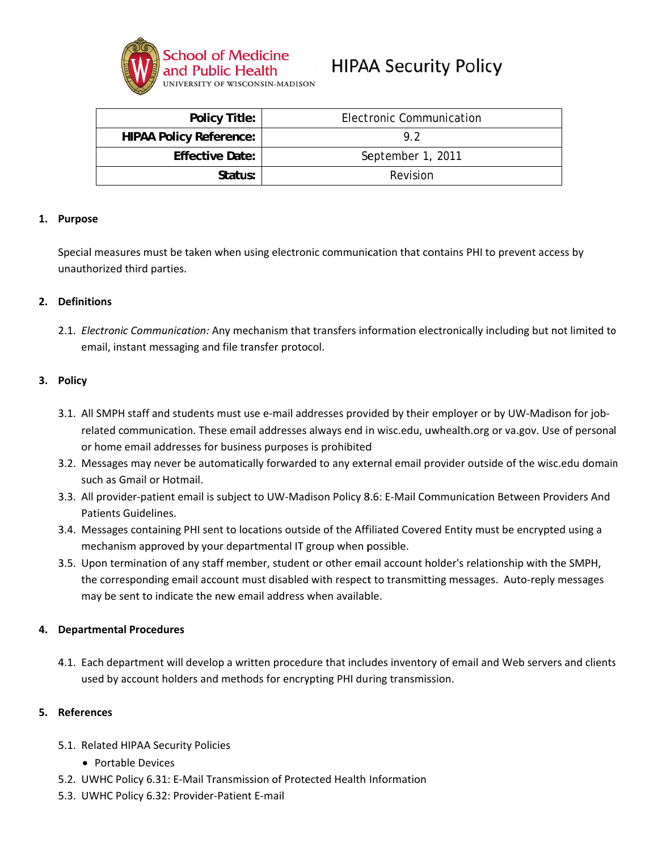

# **HIPAA Security Policy**

| <b>Policy Title:</b>           | Electronic Communication |
|--------------------------------|--------------------------|
| <b>HIPAA Policy Reference:</b> | 92                       |
| <b>Effective Date:</b>         | September 1, 2011        |
| Status:                        | Revision                 |

## 1. Purpose

Special measures must be taken when using electronic communication that contains PHI to prevent access by unauthorized third parties.

## 2. Definitions

2.1. Electronic Communication: Any mechanism that transfers information electronically including but not limited to email, instant messaging and file transfer protocol.

#### 3. Policy

- 3.1. All SMPH staff and students must use e-mail addresses provided by their employer or by UW-Madison for jobrelated communication. These email addresses always end in wisc.edu, uwhealth.org or va.gov. Use of personal or home email addresses for business purposes is prohibited
- 3.2. Messages may never be automatically forwarded to any external email provider outside of the wisc.edu domain such as Gmail or Hotmail.
- 3.3. All provider-patient email is subject to UW-Madison Policy 8.6: E-Mail Communication Between Providers And Patients Guidelines.
- 3.4. Messages containing PHI sent to locations outside of the Affiliated Covered Entity must be encrypted using a mechanism approved by your departmental IT group when possible.
- 3.5. Upon termination of any staff member, student or other email account holder's relationship with the SMPH, the corresponding email account must disabled with respect to transmitting messages. Auto-reply messages may be sent to indicate the new email address when available.

## 4. Departmental Procedures

4.1. Each department will develop a written procedure that includes inventory of email and Web servers and clients used by account holders and methods for encrypting PHI during transmission.

#### 5. References

- 5.1. Related HIPAA Security Policies
	- Portable Devices
- 5.2. UWHC Policy 6.31: E-Mail Transmission of Protected Health Information
- 5.3. UWHC Policy 6.32: Provider-Patient E-mail